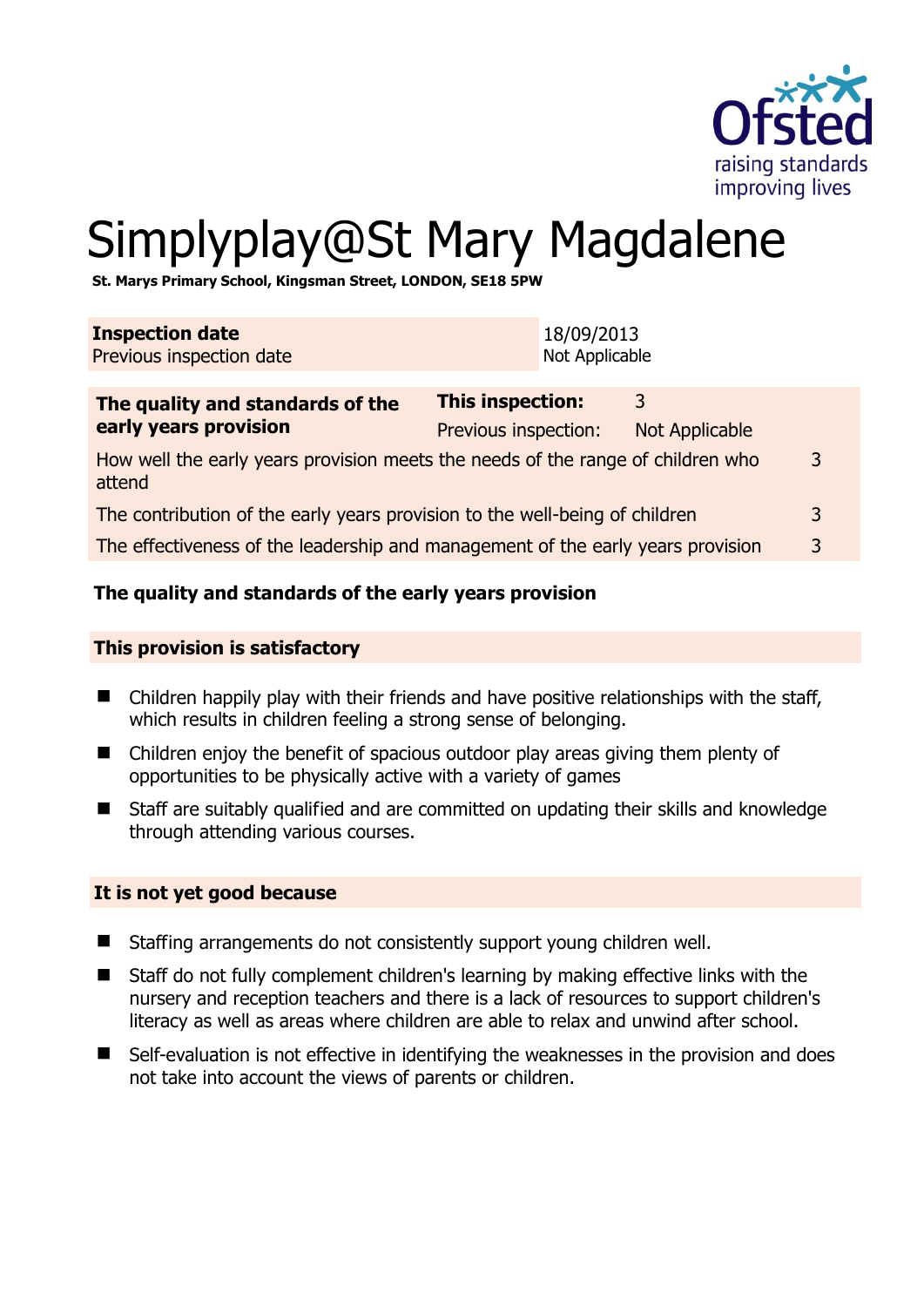

3

# Simplyplay@St Mary Magdalene

**St. Marys Primary School, Kingsman Street, LONDON, SE18 5PW** 

| <b>Inspection date</b><br>Previous inspection date                                        |                                                 | 18/09/2013<br>Not Applicable |                            |  |
|-------------------------------------------------------------------------------------------|-------------------------------------------------|------------------------------|----------------------------|--|
| The quality and standards of the<br>early years provision                                 | <b>This inspection:</b><br>Previous inspection: |                              | 3<br><b>Not Applicable</b> |  |
| How well the early years provision meets the needs of the range of children who<br>attend |                                                 |                              |                            |  |
| The contribution of the early years provision to the well-being of children               |                                                 |                              |                            |  |
| The effectiveness of the leadership and management of the early years provision           |                                                 |                              |                            |  |

#### **The quality and standards of the early years provision**

#### **This provision is satisfactory**

- Children happily play with their friends and have positive relationships with the staff, which results in children feeling a strong sense of belonging.
- Children enjoy the benefit of spacious outdoor play areas giving them plenty of opportunities to be physically active with a variety of games
- Staff are suitably qualified and are committed on updating their skills and knowledge through attending various courses.

#### **It is not yet good because**

- Staffing arrangements do not consistently support young children well.
- Staff do not fully complement children's learning by making effective links with the nursery and reception teachers and there is a lack of resources to support children's literacy as well as areas where children are able to relax and unwind after school.
- Self-evaluation is not effective in identifying the weaknesses in the provision and does not take into account the views of parents or children.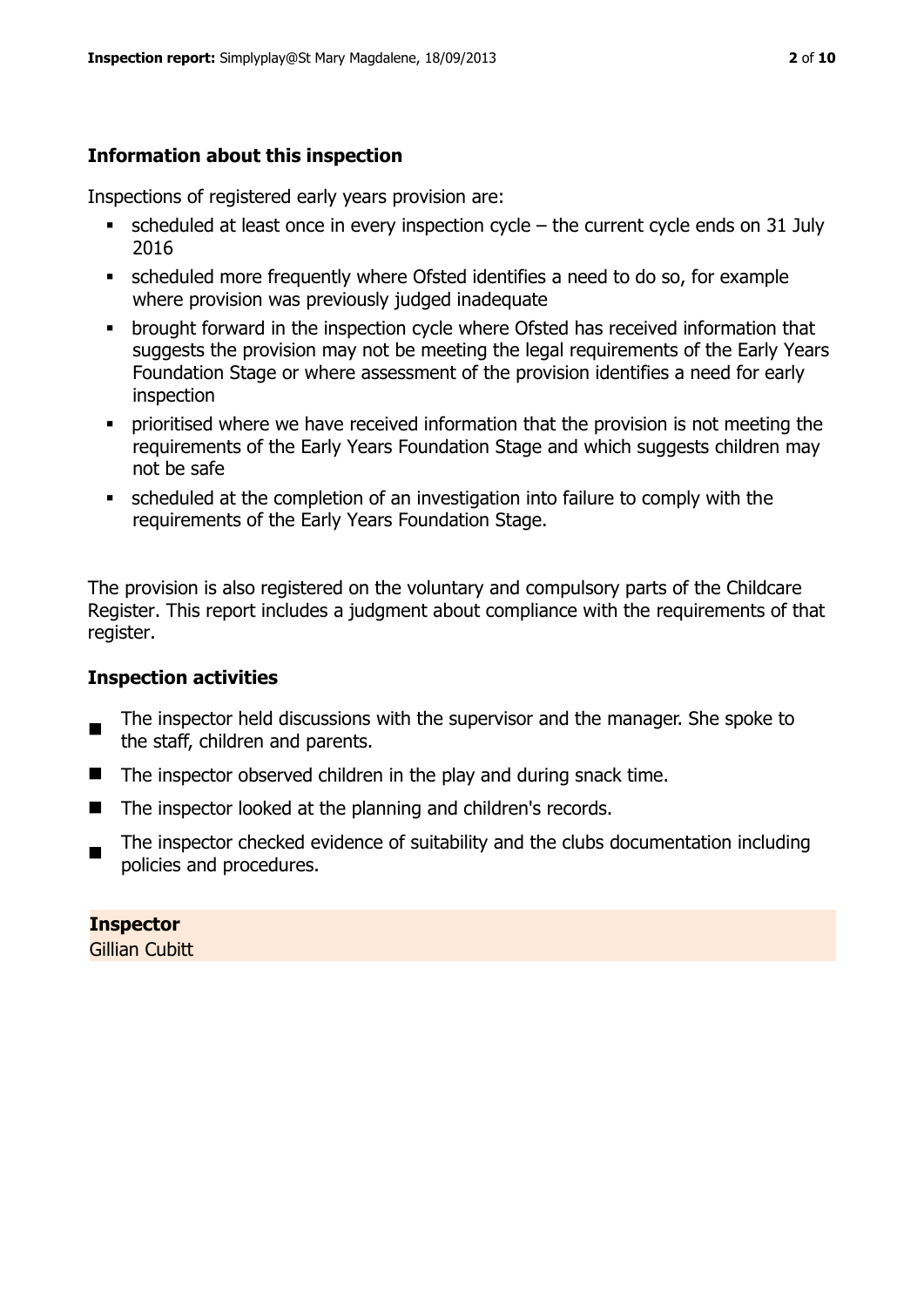# **Information about this inspection**

Inspections of registered early years provision are:

- scheduled at least once in every inspection cycle the current cycle ends on 31 July 2016
- scheduled more frequently where Ofsted identifies a need to do so, for example where provision was previously judged inadequate
- **•** brought forward in the inspection cycle where Ofsted has received information that suggests the provision may not be meeting the legal requirements of the Early Years Foundation Stage or where assessment of the provision identifies a need for early inspection
- **•** prioritised where we have received information that the provision is not meeting the requirements of the Early Years Foundation Stage and which suggests children may not be safe
- scheduled at the completion of an investigation into failure to comply with the requirements of the Early Years Foundation Stage.

The provision is also registered on the voluntary and compulsory parts of the Childcare Register. This report includes a judgment about compliance with the requirements of that register.

#### **Inspection activities**

- п The inspector held discussions with the supervisor and the manager. She spoke to the staff, children and parents.
- $\blacksquare$  The inspector observed children in the play and during snack time.
- The inspector looked at the planning and children's records.
- The inspector checked evidence of suitability and the clubs documentation including policies and procedures.

**Inspector**  Gillian Cubitt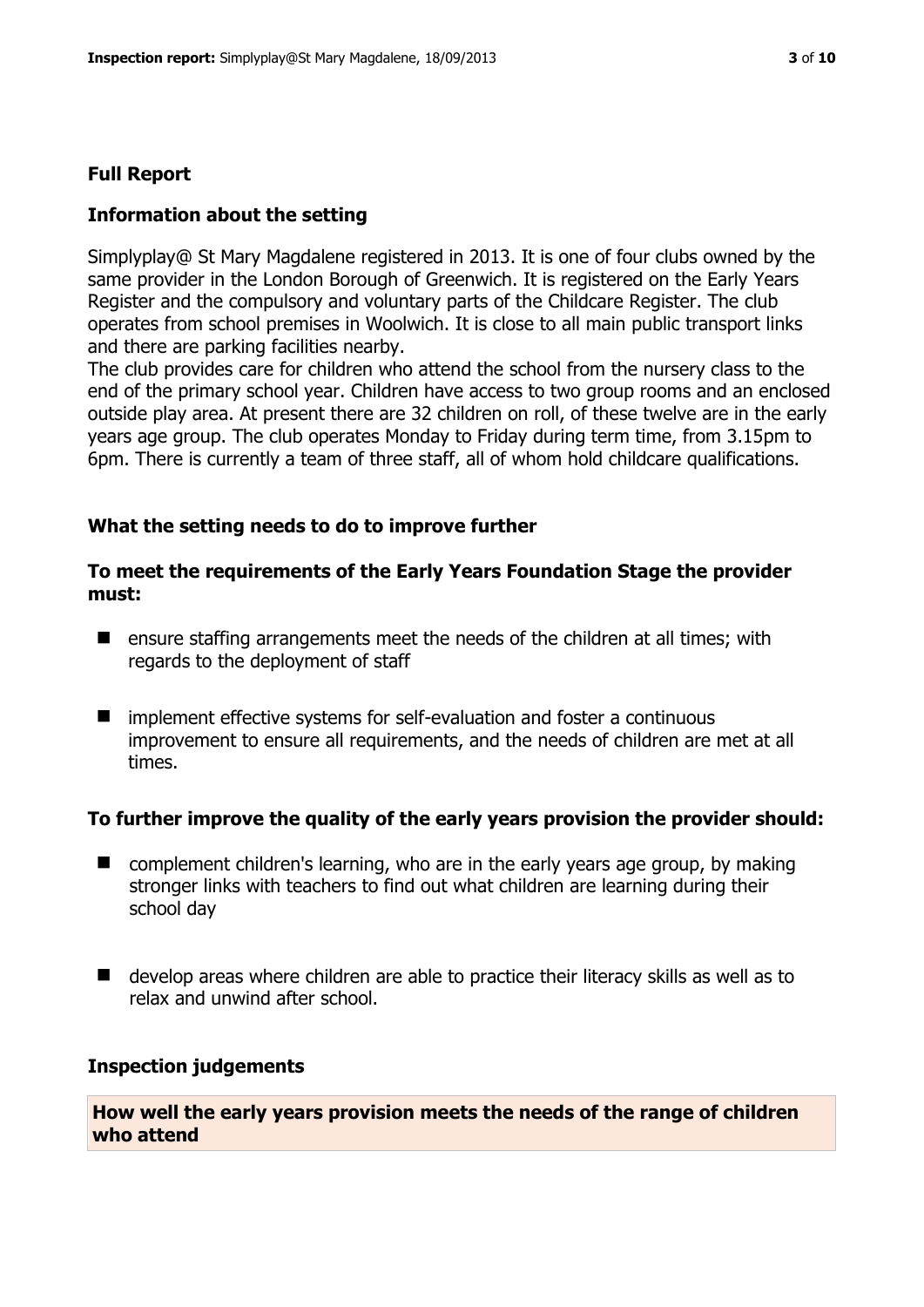# **Full Report**

## **Information about the setting**

Simplyplay@ St Mary Magdalene registered in 2013. It is one of four clubs owned by the same provider in the London Borough of Greenwich. It is registered on the Early Years Register and the compulsory and voluntary parts of the Childcare Register. The club operates from school premises in Woolwich. It is close to all main public transport links and there are parking facilities nearby.

The club provides care for children who attend the school from the nursery class to the end of the primary school year. Children have access to two group rooms and an enclosed outside play area. At present there are 32 children on roll, of these twelve are in the early years age group. The club operates Monday to Friday during term time, from 3.15pm to 6pm. There is currently a team of three staff, all of whom hold childcare qualifications.

#### **What the setting needs to do to improve further**

#### **To meet the requirements of the Early Years Foundation Stage the provider must:**

- ensure staffing arrangements meet the needs of the children at all times; with regards to the deployment of staff
- implement effective systems for self-evaluation and foster a continuous improvement to ensure all requirements, and the needs of children are met at all times.

#### **To further improve the quality of the early years provision the provider should:**

- $\Box$  complement children's learning, who are in the early years age group, by making stronger links with teachers to find out what children are learning during their school day
- develop areas where children are able to practice their literacy skills as well as to relax and unwind after school.

#### **Inspection judgements**

**How well the early years provision meets the needs of the range of children who attend**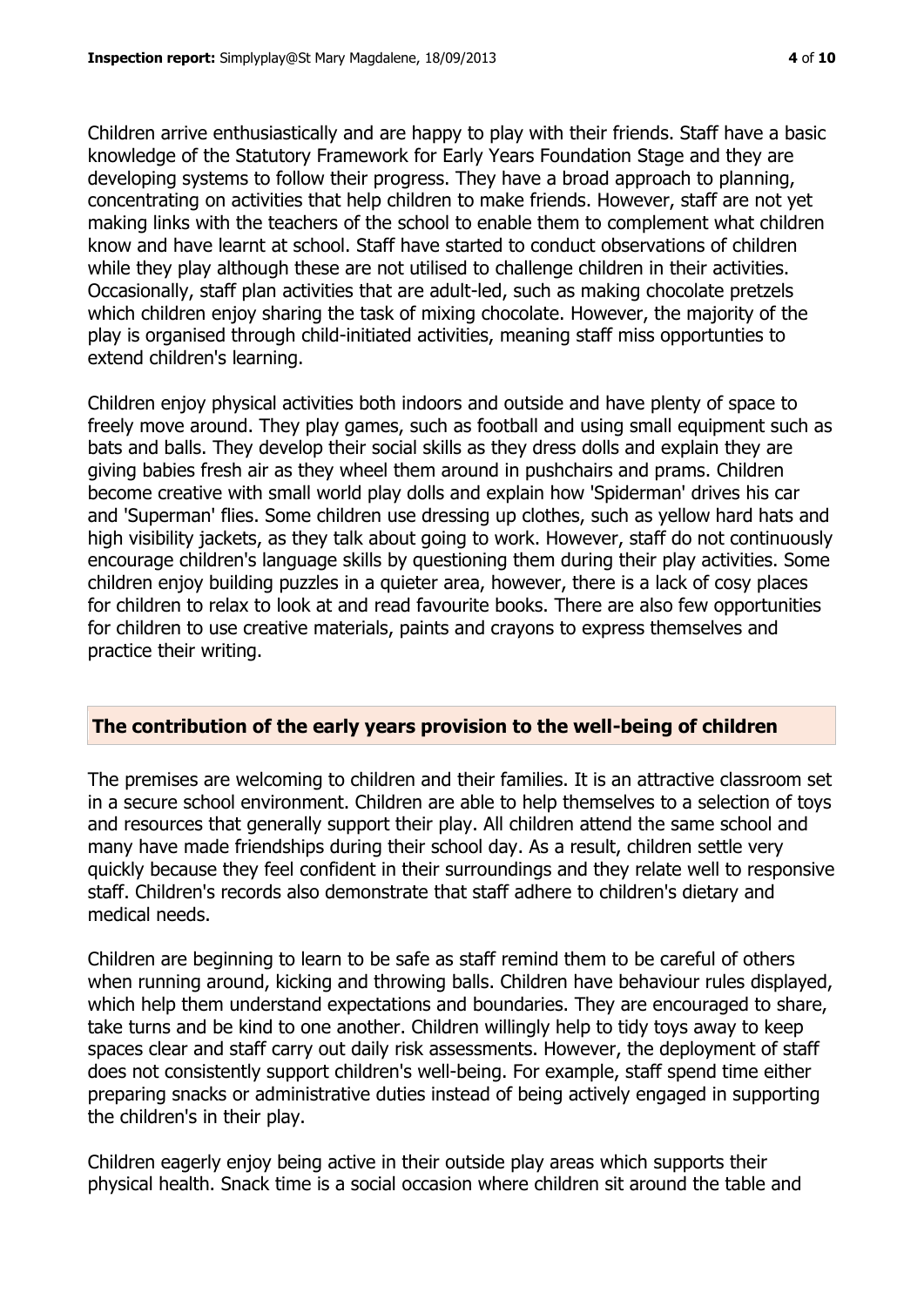Children arrive enthusiastically and are happy to play with their friends. Staff have a basic knowledge of the Statutory Framework for Early Years Foundation Stage and they are developing systems to follow their progress. They have a broad approach to planning, concentrating on activities that help children to make friends. However, staff are not yet making links with the teachers of the school to enable them to complement what children know and have learnt at school. Staff have started to conduct observations of children while they play although these are not utilised to challenge children in their activities. Occasionally, staff plan activities that are adult-led, such as making chocolate pretzels which children enjoy sharing the task of mixing chocolate. However, the majority of the play is organised through child-initiated activities, meaning staff miss opportunties to extend children's learning.

Children enjoy physical activities both indoors and outside and have plenty of space to freely move around. They play games, such as football and using small equipment such as bats and balls. They develop their social skills as they dress dolls and explain they are giving babies fresh air as they wheel them around in pushchairs and prams. Children become creative with small world play dolls and explain how 'Spiderman' drives his car and 'Superman' flies. Some children use dressing up clothes, such as yellow hard hats and high visibility jackets, as they talk about going to work. However, staff do not continuously encourage children's language skills by questioning them during their play activities. Some children enjoy building puzzles in a quieter area, however, there is a lack of cosy places for children to relax to look at and read favourite books. There are also few opportunities for children to use creative materials, paints and crayons to express themselves and practice their writing.

# **The contribution of the early years provision to the well-being of children**

The premises are welcoming to children and their families. It is an attractive classroom set in a secure school environment. Children are able to help themselves to a selection of toys and resources that generally support their play. All children attend the same school and many have made friendships during their school day. As a result, children settle very quickly because they feel confident in their surroundings and they relate well to responsive staff. Children's records also demonstrate that staff adhere to children's dietary and medical needs.

Children are beginning to learn to be safe as staff remind them to be careful of others when running around, kicking and throwing balls. Children have behaviour rules displayed, which help them understand expectations and boundaries. They are encouraged to share, take turns and be kind to one another. Children willingly help to tidy toys away to keep spaces clear and staff carry out daily risk assessments. However, the deployment of staff does not consistently support children's well-being. For example, staff spend time either preparing snacks or administrative duties instead of being actively engaged in supporting the children's in their play.

Children eagerly enjoy being active in their outside play areas which supports their physical health. Snack time is a social occasion where children sit around the table and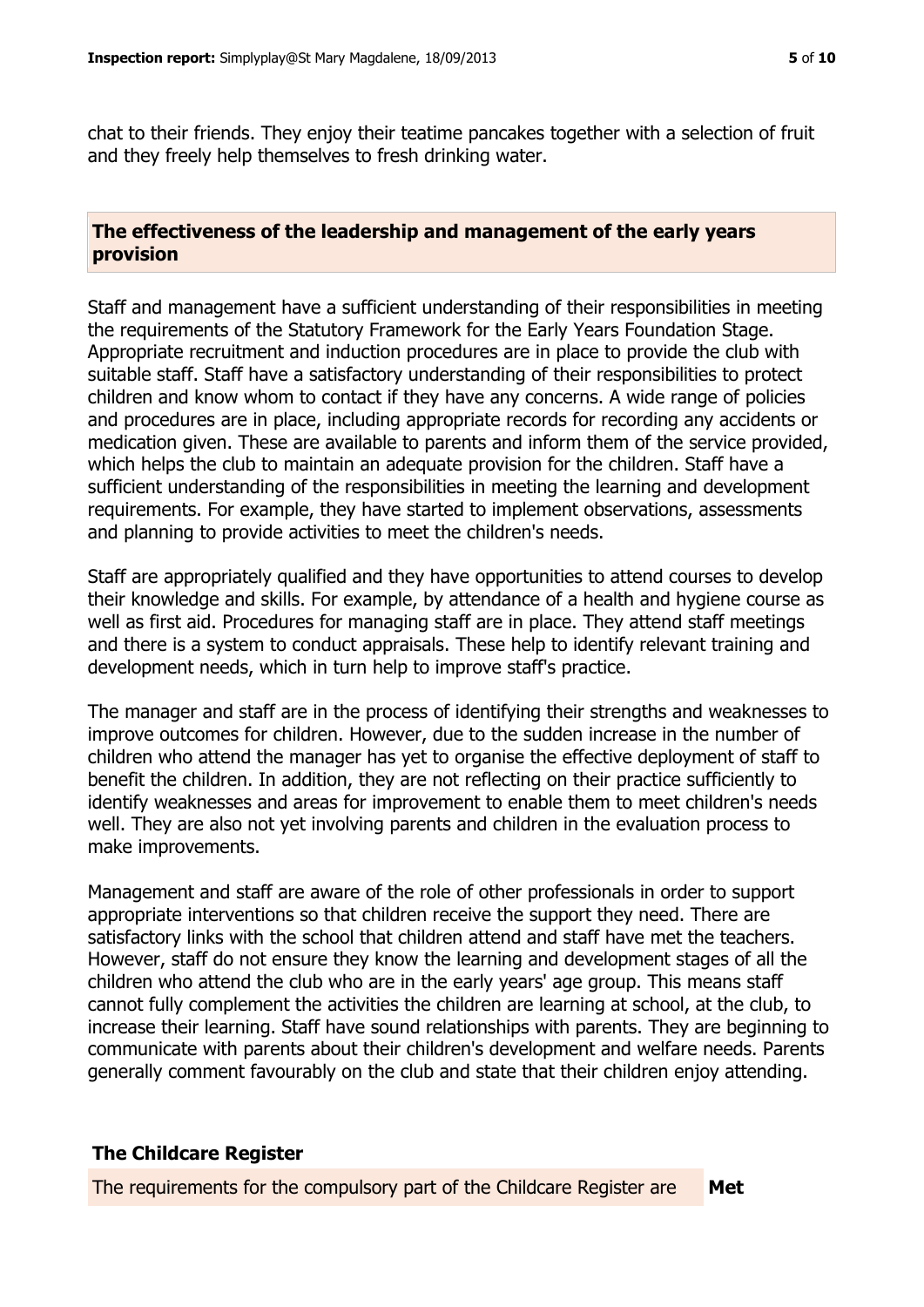chat to their friends. They enjoy their teatime pancakes together with a selection of fruit and they freely help themselves to fresh drinking water.

#### **The effectiveness of the leadership and management of the early years provision**

Staff and management have a sufficient understanding of their responsibilities in meeting the requirements of the Statutory Framework for the Early Years Foundation Stage. Appropriate recruitment and induction procedures are in place to provide the club with suitable staff. Staff have a satisfactory understanding of their responsibilities to protect children and know whom to contact if they have any concerns. A wide range of policies and procedures are in place, including appropriate records for recording any accidents or medication given. These are available to parents and inform them of the service provided, which helps the club to maintain an adequate provision for the children. Staff have a sufficient understanding of the responsibilities in meeting the learning and development requirements. For example, they have started to implement observations, assessments and planning to provide activities to meet the children's needs.

Staff are appropriately qualified and they have opportunities to attend courses to develop their knowledge and skills. For example, by attendance of a health and hygiene course as well as first aid. Procedures for managing staff are in place. They attend staff meetings and there is a system to conduct appraisals. These help to identify relevant training and development needs, which in turn help to improve staff's practice.

The manager and staff are in the process of identifying their strengths and weaknesses to improve outcomes for children. However, due to the sudden increase in the number of children who attend the manager has yet to organise the effective deployment of staff to benefit the children. In addition, they are not reflecting on their practice sufficiently to identify weaknesses and areas for improvement to enable them to meet children's needs well. They are also not yet involving parents and children in the evaluation process to make improvements.

Management and staff are aware of the role of other professionals in order to support appropriate interventions so that children receive the support they need. There are satisfactory links with the school that children attend and staff have met the teachers. However, staff do not ensure they know the learning and development stages of all the children who attend the club who are in the early years' age group. This means staff cannot fully complement the activities the children are learning at school, at the club, to increase their learning. Staff have sound relationships with parents. They are beginning to communicate with parents about their children's development and welfare needs. Parents generally comment favourably on the club and state that their children enjoy attending.

#### **The Childcare Register**

The requirements for the compulsory part of the Childcare Register are **Met**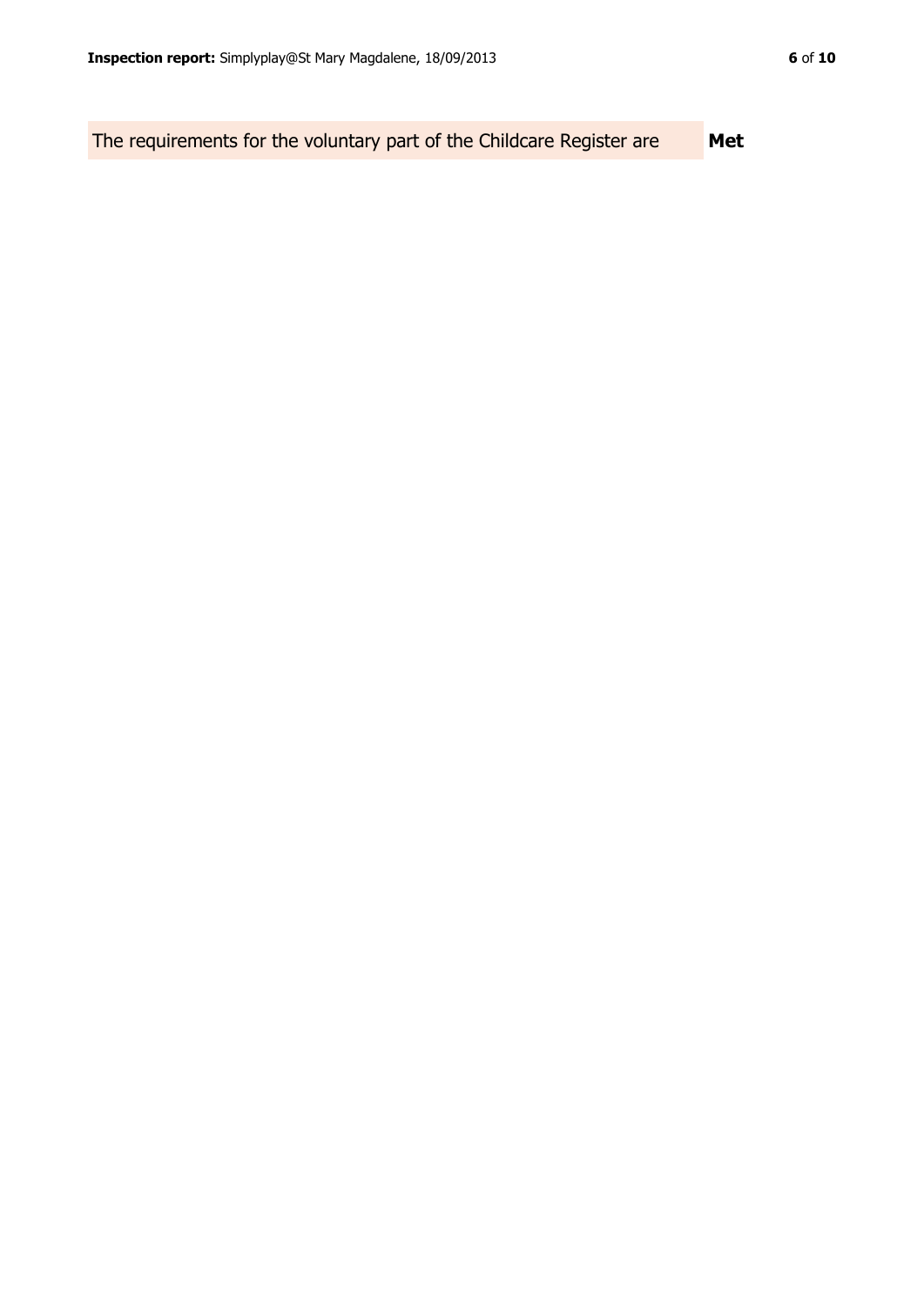The requirements for the voluntary part of the Childcare Register are **Met**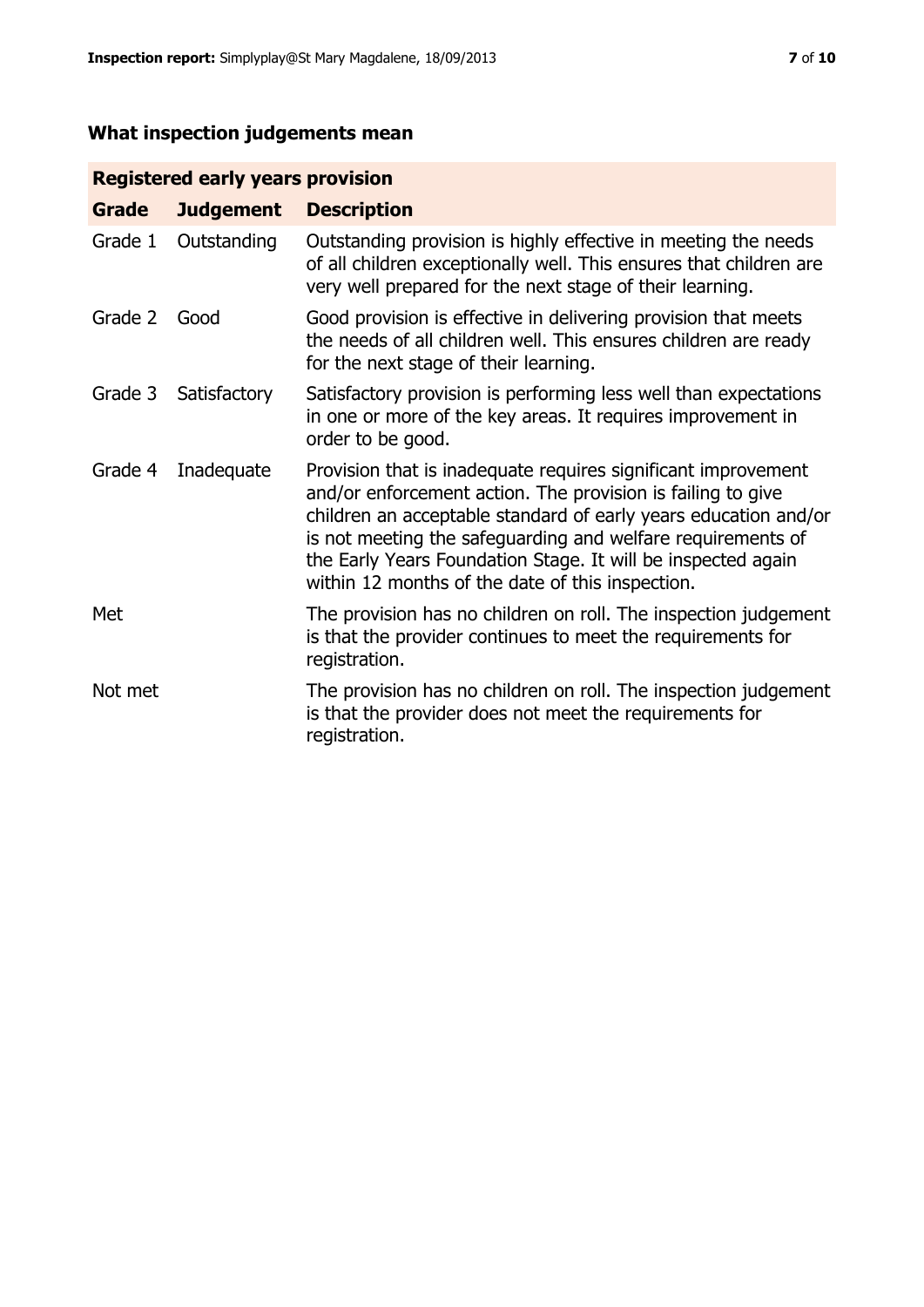# **What inspection judgements mean**

## **Registered early years provision**

| Grade   | <b>Judgement</b> | <b>Description</b>                                                                                                                                                                                                                                                                                                                                                                 |
|---------|------------------|------------------------------------------------------------------------------------------------------------------------------------------------------------------------------------------------------------------------------------------------------------------------------------------------------------------------------------------------------------------------------------|
| Grade 1 | Outstanding      | Outstanding provision is highly effective in meeting the needs<br>of all children exceptionally well. This ensures that children are<br>very well prepared for the next stage of their learning.                                                                                                                                                                                   |
| Grade 2 | Good             | Good provision is effective in delivering provision that meets<br>the needs of all children well. This ensures children are ready<br>for the next stage of their learning.                                                                                                                                                                                                         |
| Grade 3 | Satisfactory     | Satisfactory provision is performing less well than expectations<br>in one or more of the key areas. It requires improvement in<br>order to be good.                                                                                                                                                                                                                               |
| Grade 4 | Inadequate       | Provision that is inadequate requires significant improvement<br>and/or enforcement action. The provision is failing to give<br>children an acceptable standard of early years education and/or<br>is not meeting the safeguarding and welfare requirements of<br>the Early Years Foundation Stage. It will be inspected again<br>within 12 months of the date of this inspection. |
| Met     |                  | The provision has no children on roll. The inspection judgement<br>is that the provider continues to meet the requirements for<br>registration.                                                                                                                                                                                                                                    |
| Not met |                  | The provision has no children on roll. The inspection judgement<br>is that the provider does not meet the requirements for<br>registration.                                                                                                                                                                                                                                        |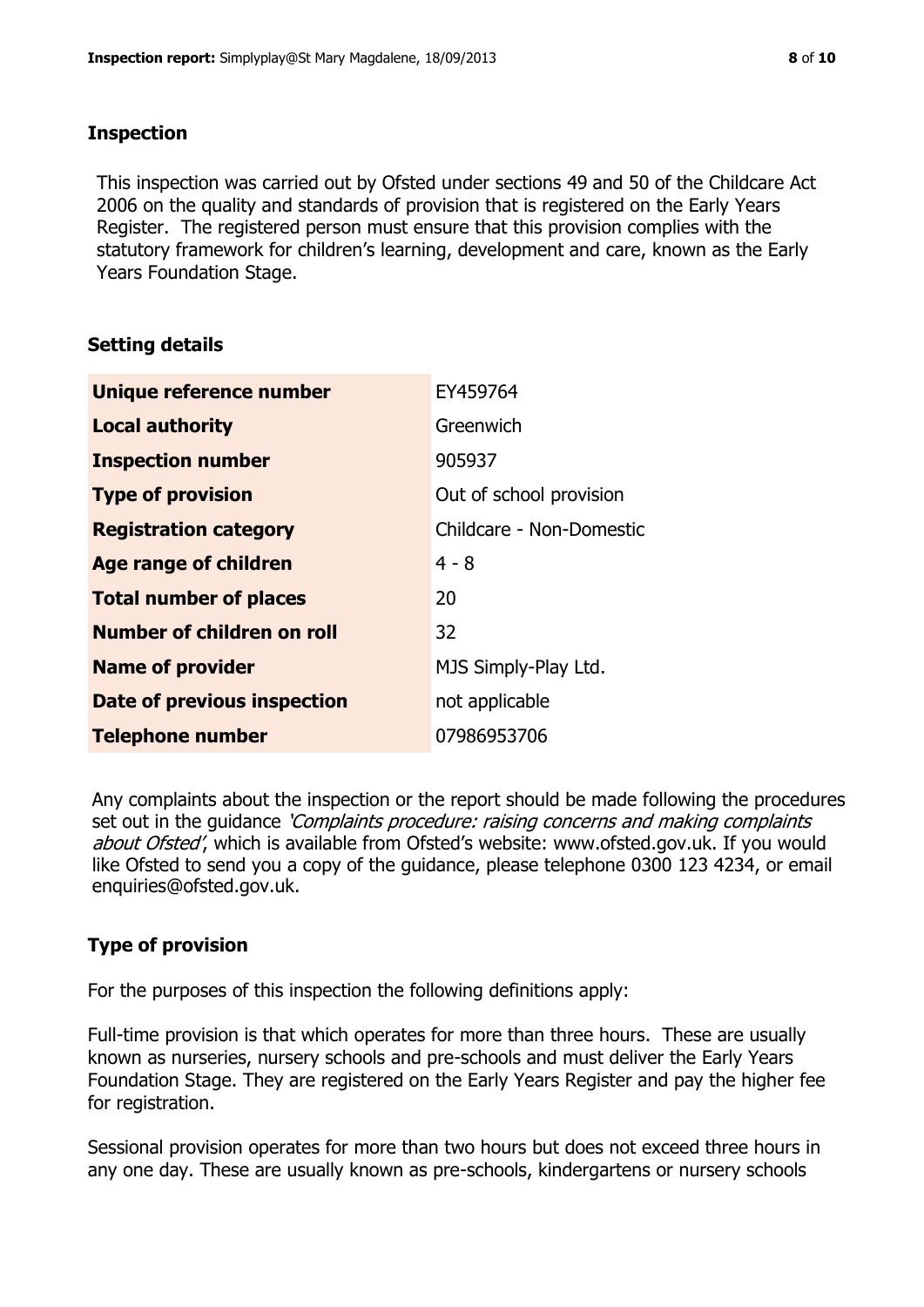#### **Inspection**

This inspection was carried out by Ofsted under sections 49 and 50 of the Childcare Act 2006 on the quality and standards of provision that is registered on the Early Years Register. The registered person must ensure that this provision complies with the statutory framework for children's learning, development and care, known as the Early Years Foundation Stage.

#### **Setting details**

| Unique reference number       | EY459764                 |
|-------------------------------|--------------------------|
| <b>Local authority</b>        | Greenwich                |
| <b>Inspection number</b>      | 905937                   |
| <b>Type of provision</b>      | Out of school provision  |
| <b>Registration category</b>  | Childcare - Non-Domestic |
| <b>Age range of children</b>  | $4 - 8$                  |
| <b>Total number of places</b> | 20                       |
| Number of children on roll    | 32                       |
| <b>Name of provider</b>       | MJS Simply-Play Ltd.     |
| Date of previous inspection   | not applicable           |
| <b>Telephone number</b>       | 07986953706              |

Any complaints about the inspection or the report should be made following the procedures set out in the guidance *'Complaints procedure: raising concerns and making complaints* about Ofsted', which is available from Ofsted's website: www.ofsted.gov.uk. If you would like Ofsted to send you a copy of the guidance, please telephone 0300 123 4234, or email enquiries@ofsted.gov.uk.

#### **Type of provision**

For the purposes of this inspection the following definitions apply:

Full-time provision is that which operates for more than three hours. These are usually known as nurseries, nursery schools and pre-schools and must deliver the Early Years Foundation Stage. They are registered on the Early Years Register and pay the higher fee for registration.

Sessional provision operates for more than two hours but does not exceed three hours in any one day. These are usually known as pre-schools, kindergartens or nursery schools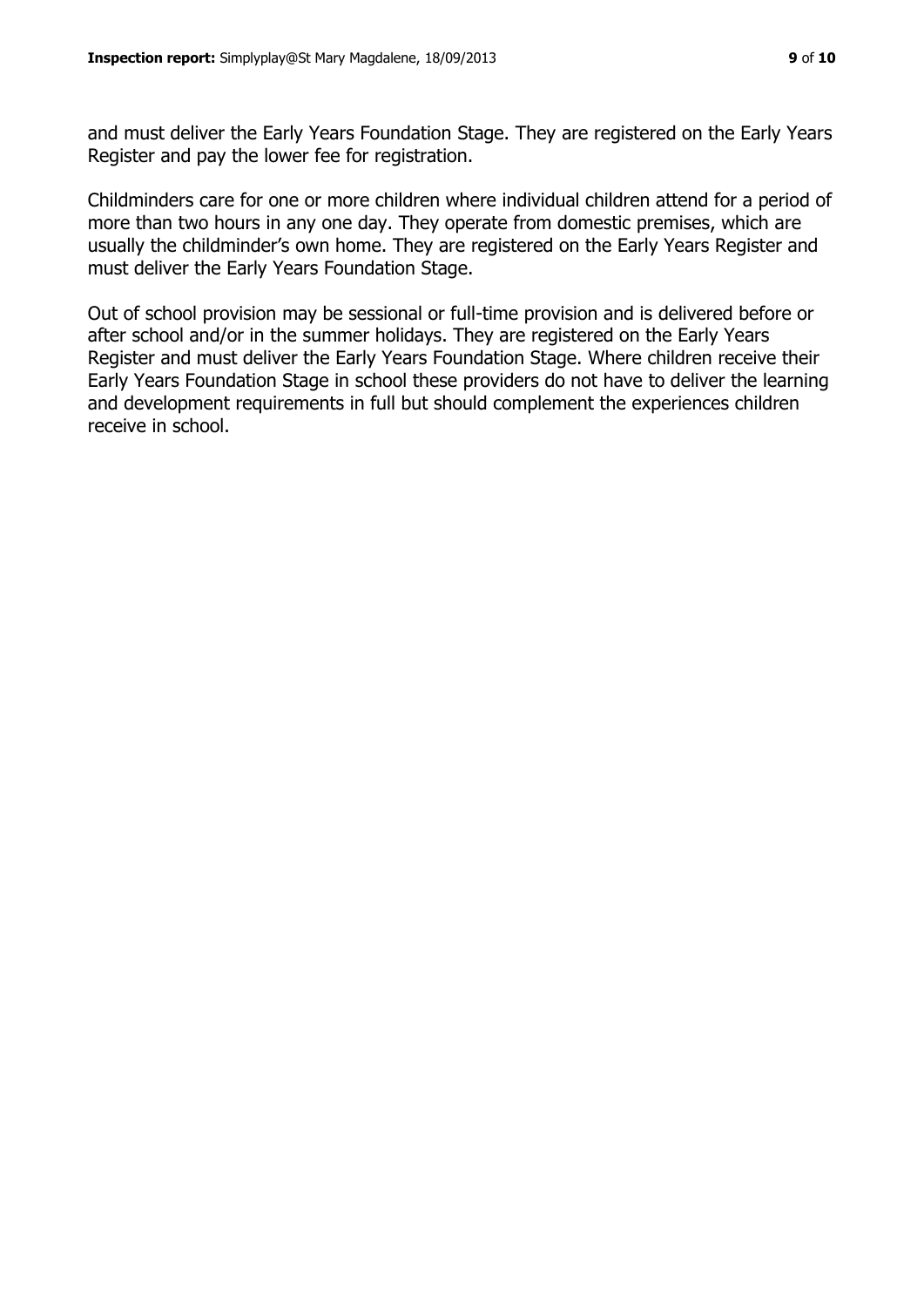and must deliver the Early Years Foundation Stage. They are registered on the Early Years Register and pay the lower fee for registration.

Childminders care for one or more children where individual children attend for a period of more than two hours in any one day. They operate from domestic premises, which are usually the childminder's own home. They are registered on the Early Years Register and must deliver the Early Years Foundation Stage.

Out of school provision may be sessional or full-time provision and is delivered before or after school and/or in the summer holidays. They are registered on the Early Years Register and must deliver the Early Years Foundation Stage. Where children receive their Early Years Foundation Stage in school these providers do not have to deliver the learning and development requirements in full but should complement the experiences children receive in school.